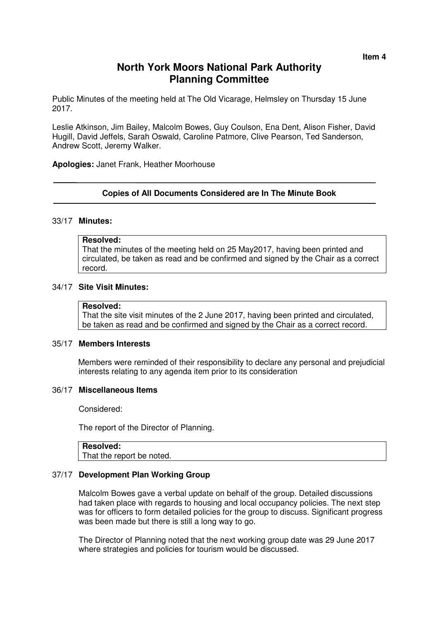# **North York Moors National Park Authority Planning Committee**

Public Minutes of the meeting held at The Old Vicarage, Helmsley on Thursday 15 June 2017.

Leslie Atkinson, Jim Bailey, Malcolm Bowes, Guy Coulson, Ena Dent, Alison Fisher, David Hugill, David Jeffels, Sarah Oswald, Caroline Patmore, Clive Pearson, Ted Sanderson, Andrew Scott, Jeremy Walker.

**Apologies:** Janet Frank, Heather Moorhouse

### **Copies of All Documents Considered are In The Minute Book**

#### 33/17 **Minutes:**

#### **Resolved:**

That the minutes of the meeting held on 25 May2017, having been printed and circulated, be taken as read and be confirmed and signed by the Chair as a correct record.

### 34/17 **Site Visit Minutes:**

#### **Resolved:**

That the site visit minutes of the 2 June 2017, having been printed and circulated, be taken as read and be confirmed and signed by the Chair as a correct record.

# 35/17 **Members Interests**

Members were reminded of their responsibility to declare any personal and prejudicial interests relating to any agenda item prior to its consideration

#### 36/17 **Miscellaneous Items**

Considered:

The report of the Director of Planning.

# **Resolved:**

That the report be noted.

### 37/17 **Development Plan Working Group**

Malcolm Bowes gave a verbal update on behalf of the group. Detailed discussions had taken place with regards to housing and local occupancy policies. The next step was for officers to form detailed policies for the group to discuss. Significant progress was been made but there is still a long way to go.

The Director of Planning noted that the next working group date was 29 June 2017 where strategies and policies for tourism would be discussed.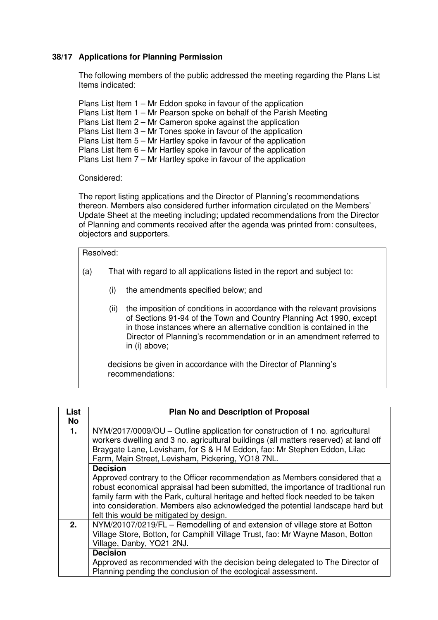# **38/17 Applications for Planning Permission**

 The following members of the public addressed the meeting regarding the Plans List Items indicated:

 Plans List Item 1 – Mr Eddon spoke in favour of the application Plans List Item 1 – Mr Pearson spoke on behalf of the Parish Meeting Plans List Item 2 – Mr Cameron spoke against the application Plans List Item 3 – Mr Tones spoke in favour of the application Plans List Item 5 – Mr Hartley spoke in favour of the application Plans List Item 6 – Mr Hartley spoke in favour of the application Plans List Item 7 – Mr Hartley spoke in favour of the application

## Considered:

The report listing applications and the Director of Planning's recommendations thereon. Members also considered further information circulated on the Members' Update Sheet at the meeting including; updated recommendations from the Director of Planning and comments received after the agenda was printed from: consultees, objectors and supporters.

#### Resolved:

- (a) That with regard to all applications listed in the report and subject to:
	- (i) the amendments specified below; and
	- (ii) the imposition of conditions in accordance with the relevant provisions of Sections 91-94 of the Town and Country Planning Act 1990, except in those instances where an alternative condition is contained in the Director of Planning's recommendation or in an amendment referred to in (i) above;

 decisions be given in accordance with the Director of Planning's recommendations:

| <b>List</b> | <b>Plan No and Description of Proposal</b>                                                                                                                                                                                                                                                                                                                                         |
|-------------|------------------------------------------------------------------------------------------------------------------------------------------------------------------------------------------------------------------------------------------------------------------------------------------------------------------------------------------------------------------------------------|
|             |                                                                                                                                                                                                                                                                                                                                                                                    |
| No          |                                                                                                                                                                                                                                                                                                                                                                                    |
| 1.          | NYM/2017/0009/OU – Outline application for construction of 1 no. agricultural<br>workers dwelling and 3 no. agricultural buildings (all matters reserved) at land off<br>Braygate Lane, Levisham, for S & H M Eddon, fao: Mr Stephen Eddon, Lilac<br>Farm, Main Street, Levisham, Pickering, YO18 7NL.                                                                             |
|             | <b>Decision</b>                                                                                                                                                                                                                                                                                                                                                                    |
|             | Approved contrary to the Officer recommendation as Members considered that a<br>robust economical appraisal had been submitted, the importance of traditional run<br>family farm with the Park, cultural heritage and hefted flock needed to be taken<br>into consideration. Members also acknowledged the potential landscape hard but<br>felt this would be mitigated by design. |
| 2.          | NYM/20107/0219/FL - Remodelling of and extension of village store at Botton                                                                                                                                                                                                                                                                                                        |
|             | Village Store, Botton, for Camphill Village Trust, fao: Mr Wayne Mason, Botton                                                                                                                                                                                                                                                                                                     |
|             | Village, Danby, YO21 2NJ.                                                                                                                                                                                                                                                                                                                                                          |
|             | <b>Decision</b>                                                                                                                                                                                                                                                                                                                                                                    |
|             |                                                                                                                                                                                                                                                                                                                                                                                    |
|             | Approved as recommended with the decision being delegated to The Director of                                                                                                                                                                                                                                                                                                       |
|             | Planning pending the conclusion of the ecological assessment.                                                                                                                                                                                                                                                                                                                      |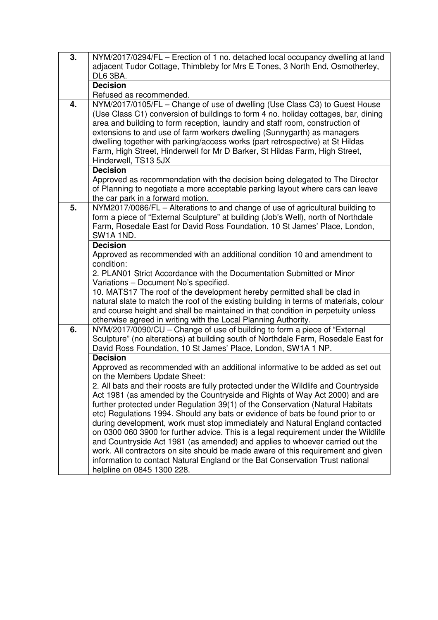| $\overline{3}$ . | NYM/2017/0294/FL - Erection of 1 no. detached local occupancy dwelling at land                                                                                   |
|------------------|------------------------------------------------------------------------------------------------------------------------------------------------------------------|
|                  | adjacent Tudor Cottage, Thimbleby for Mrs E Tones, 3 North End, Osmotherley,                                                                                     |
|                  | DL6 3BA.                                                                                                                                                         |
|                  | <b>Decision</b>                                                                                                                                                  |
|                  | Refused as recommended.                                                                                                                                          |
| 4.               | NYM/2017/0105/FL - Change of use of dwelling (Use Class C3) to Guest House<br>(Use Class C1) conversion of buildings to form 4 no. holiday cottages, bar, dining |
|                  | area and building to form reception, laundry and staff room, construction of                                                                                     |
|                  | extensions to and use of farm workers dwelling (Sunnygarth) as managers                                                                                          |
|                  | dwelling together with parking/access works (part retrospective) at St Hildas                                                                                    |
|                  | Farm, High Street, Hinderwell for Mr D Barker, St Hildas Farm, High Street,                                                                                      |
|                  | Hinderwell, TS13 5JX                                                                                                                                             |
|                  | <b>Decision</b>                                                                                                                                                  |
|                  | Approved as recommendation with the decision being delegated to The Director                                                                                     |
|                  | of Planning to negotiate a more acceptable parking layout where cars can leave                                                                                   |
|                  | the car park in a forward motion.                                                                                                                                |
| 5.               | NYM2017/0086/FL - Alterations to and change of use of agricultural building to                                                                                   |
|                  | form a piece of "External Sculpture" at building (Job's Well), north of Northdale                                                                                |
|                  | Farm, Rosedale East for David Ross Foundation, 10 St James' Place, London,                                                                                       |
|                  | SW1A 1ND.                                                                                                                                                        |
|                  | <b>Decision</b>                                                                                                                                                  |
|                  | Approved as recommended with an additional condition 10 and amendment to<br>condition:                                                                           |
|                  | 2. PLAN01 Strict Accordance with the Documentation Submitted or Minor                                                                                            |
|                  | Variations - Document No's specified.                                                                                                                            |
|                  | 10. MATS17 The roof of the development hereby permitted shall be clad in                                                                                         |
|                  | natural slate to match the roof of the existing building in terms of materials, colour                                                                           |
|                  | and course height and shall be maintained in that condition in perpetuity unless                                                                                 |
|                  | otherwise agreed in writing with the Local Planning Authority.                                                                                                   |
| 6.               | NYM/2017/0090/CU - Change of use of building to form a piece of "External                                                                                        |
|                  | Sculpture" (no alterations) at building south of Northdale Farm, Rosedale East for                                                                               |
|                  | David Ross Foundation, 10 St James' Place, London, SW1A 1 NP.                                                                                                    |
|                  | <b>Decision</b>                                                                                                                                                  |
|                  | Approved as recommended with an additional informative to be added as set out                                                                                    |
|                  | on the Members Update Sheet:<br>2. All bats and their roosts are fully protected under the Wildlife and Countryside                                              |
|                  | Act 1981 (as amended by the Countryside and Rights of Way Act 2000) and are                                                                                      |
|                  | further protected under Regulation 39(1) of the Conservation (Natural Habitats                                                                                   |
|                  | etc) Regulations 1994. Should any bats or evidence of bats be found prior to or                                                                                  |
|                  | during development, work must stop immediately and Natural England contacted                                                                                     |
|                  | on 0300 060 3900 for further advice. This is a legal requirement under the Wildlife                                                                              |
|                  | and Countryside Act 1981 (as amended) and applies to whoever carried out the                                                                                     |
|                  | work. All contractors on site should be made aware of this requirement and given                                                                                 |
|                  | information to contact Natural England or the Bat Conservation Trust national                                                                                    |
|                  | helpline on 0845 1300 228.                                                                                                                                       |